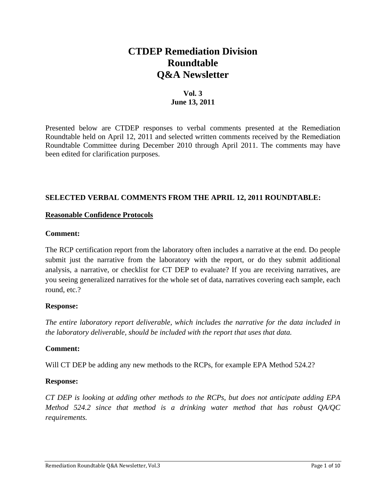# **CTDEP Remediation Division Roundtable Q&A Newsletter**

# **Vol. 3 June 13, 2011**

Presented below are CTDEP responses to verbal comments presented at the Remediation Roundtable held on April 12, 2011 and selected written comments received by the Remediation Roundtable Committee during December 2010 through April 2011. The comments may have been edited for clarification purposes.

# **SELECTED VERBAL COMMENTS FROM THE APRIL 12, 2011 ROUNDTABLE:**

# **Reasonable Confidence Protocols**

# **Comment:**

The RCP certification report from the laboratory often includes a narrative at the end. Do people submit just the narrative from the laboratory with the report, or do they submit additional analysis, a narrative, or checklist for CT DEP to evaluate? If you are receiving narratives, are you seeing generalized narratives for the whole set of data, narratives covering each sample, each round, etc.?

# **Response:**

*The entire laboratory report deliverable, which includes the narrative for the data included in the laboratory deliverable, should be included with the report that uses that data.* 

# **Comment:**

Will CT DEP be adding any new methods to the RCPs, for example EPA Method 524.2?

## **Response:**

*CT DEP is looking at adding other methods to the RCPs, but does not anticipate adding EPA Method 524.2 since that method is a drinking water method that has robust QA/QC requirements.*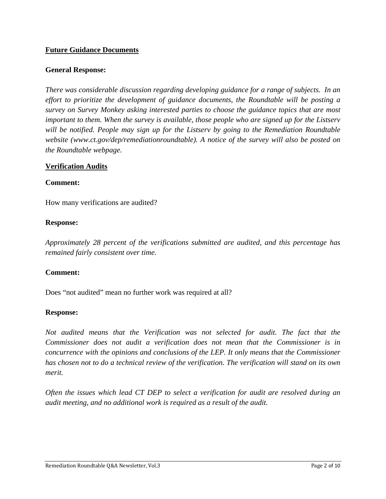# **Future Guidance Documents**

# **General Response:**

*There was considerable discussion regarding developing guidance for a range of subjects. In an effort to prioritize the development of guidance documents, the Roundtable will be posting a survey on Survey Monkey asking interested parties to choose the guidance topics that are most important to them. When the survey is available, those people who are signed up for the Listserv will be notified. People may sign up for the Listserv by going to the Remediation Roundtable website (www.ct.gov/dep/remediationroundtable). A notice of the survey will also be posted on the Roundtable webpage.* 

# **Verification Audits**

## **Comment:**

How many verifications are audited?

## **Response:**

*Approximately 28 percent of the verifications submitted are audited, and this percentage has remained fairly consistent over time.* 

## **Comment:**

Does "not audited" mean no further work was required at all?

## **Response:**

Not audited means that the Verification was not selected for audit. The fact that the *Commissioner does not audit a verification does not mean that the Commissioner is in concurrence with the opinions and conclusions of the LEP. It only means that the Commissioner has chosen not to do a technical review of the verification. The verification will stand on its own merit.* 

*Often the issues which lead CT DEP to select a verification for audit are resolved during an audit meeting, and no additional work is required as a result of the audit.*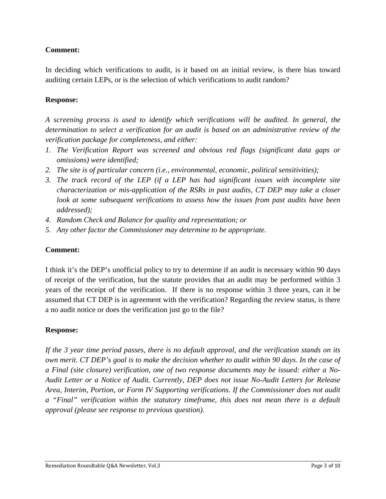# **Comment:**

In deciding which verifications to audit, is it based on an initial review, is there bias toward auditing certain LEPs, or is the selection of which verifications to audit random?

# **Response:**

*A screening process is used to identify which verifications will be audited. In general, the determination to select a verification for an audit is based on an administrative review of the verification package for completeness, and either:* 

- *1. The Verification Report was screened and obvious red flags (significant data gaps or omissions) were identified;*
- *2. The site is of particular concern (i.e., environmental, economic, political sensitivities);*
- *3. The track record of the LEP (if a LEP has had significant issues with incomplete site characterization or mis-application of the RSRs in past audits, CT DEP may take a closer look at some subsequent verifications to assess how the issues from past audits have been addressed);*
- *4. Random Check and Balance for quality and representation; or*
- *5. Any other factor the Commissioner may determine to be appropriate.*

# **Comment:**

I think it's the DEP's unofficial policy to try to determine if an audit is necessary within 90 days of receipt of the verification, but the statute provides that an audit may be performed within 3 years of the receipt of the verification. If there is no response within 3 three years, can it be assumed that CT DEP is in agreement with the verification? Regarding the review status, is there a no audit notice or does the verification just go to the file?

## **Response:**

*If the 3 year time period passes, there is no default approval, and the verification stands on its own merit. CT DEP's goal is to make the decision whether to audit within 90 days. In the case of a Final (site closure) verification, one of two response documents may be issued: either a No-Audit Letter or a Notice of Audit. Currently, DEP does not issue No-Audit Letters for Release Area, Interim, Portion, or Form IV Supporting verifications. If the Commissioner does not audit a "Final" verification within the statutory timeframe, this does not mean there is a default approval (please see response to previous question).*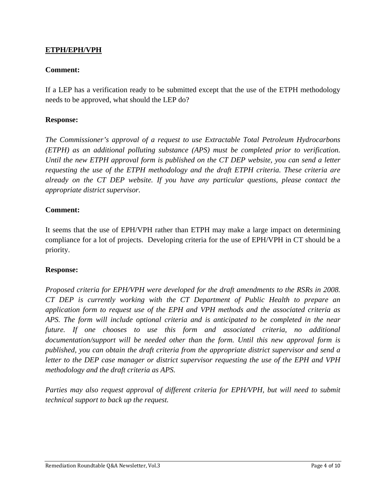# **ETPH/EPH/VPH**

# **Comment:**

If a LEP has a verification ready to be submitted except that the use of the ETPH methodology needs to be approved, what should the LEP do?

# **Response:**

*The Commissioner's approval of a request to use Extractable Total Petroleum Hydrocarbons (ETPH) as an additional polluting substance (APS) must be completed prior to verification. Until the new ETPH approval form is published on the CT DEP website, you can send a letter requesting the use of the ETPH methodology and the draft ETPH criteria. These criteria are already on the CT DEP website. If you have any particular questions, please contact the appropriate district supervisor.* 

# **Comment:**

It seems that the use of EPH/VPH rather than ETPH may make a large impact on determining compliance for a lot of projects. Developing criteria for the use of EPH/VPH in CT should be a priority.

## **Response:**

*Proposed criteria for EPH/VPH were developed for the draft amendments to the RSRs in 2008. CT DEP is currently working with the CT Department of Public Health to prepare an application form to request use of the EPH and VPH methods and the associated criteria as APS. The form will include optional criteria and is anticipated to be completed in the near future. If one chooses to use this form and associated criteria, no additional documentation/support will be needed other than the form. Until this new approval form is published, you can obtain the draft criteria from the appropriate district supervisor and send a letter to the DEP case manager or district supervisor requesting the use of the EPH and VPH methodology and the draft criteria as APS.* 

Parties may also request approval of different criteria for EPH/VPH, but will need to submit *technical support to back up the request.*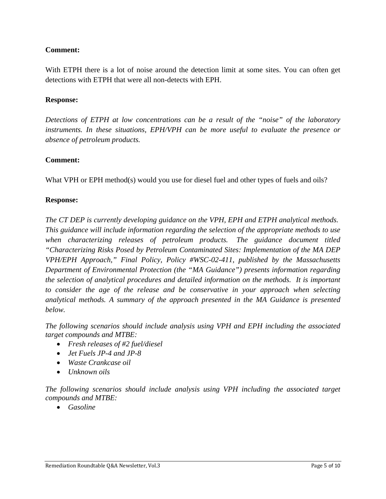# **Comment:**

With ETPH there is a lot of noise around the detection limit at some sites. You can often get detections with ETPH that were all non-detects with EPH.

# **Response:**

*Detections of ETPH at low concentrations can be a result of the "noise" of the laboratory instruments. In these situations, EPH/VPH can be more useful to evaluate the presence or absence of petroleum products.* 

# **Comment:**

What VPH or EPH method(s) would you use for diesel fuel and other types of fuels and oils?

# **Response:**

*The CT DEP is currently developing guidance on the VPH, EPH and ETPH analytical methods. This guidance will include information regarding the selection of the appropriate methods to use*  when characterizing releases of petroleum products. The guidance document titled *"Characterizing Risks Posed by Petroleum Contaminated Sites: Implementation of the MA DEP VPH/EPH Approach," Final Policy, Policy #WSC-02-411, published by the Massachusetts Department of Environmental Protection (the "MA Guidance") presents information regarding the selection of analytical procedures and detailed information on the methods. It is important to consider the age of the release and be conservative in your approach when selecting analytical methods. A summary of the approach presented in the MA Guidance is presented below.* 

*The following scenarios should include analysis using VPH and EPH including the associated target compounds and MTBE:* 

- *Fresh releases of #2 fuel/diesel*
- *Jet Fuels JP-4 and JP-8*
- *Waste Crankcase oil*
- *Unknown oils*

*The following scenarios should include analysis using VPH including the associated target compounds and MTBE:* 

• *Gasoline*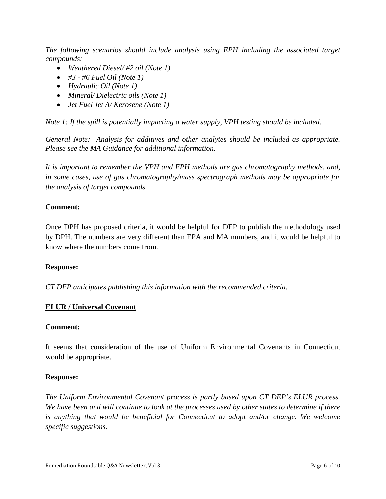*The following scenarios should include analysis using EPH including the associated target compounds:* 

- *Weathered Diesel/ #2 oil (Note 1)*
- *#3 #6 Fuel Oil (Note 1)*
- *Hydraulic Oil (Note 1)*
- *Mineral/ Dielectric oils (Note 1)*
- *Jet Fuel Jet A/ Kerosene (Note 1)*

*Note 1: If the spill is potentially impacting a water supply, VPH testing should be included.* 

*General Note: Analysis for additives and other analytes should be included as appropriate. Please see the MA Guidance for additional information.* 

*It is important to remember the VPH and EPH methods are gas chromatography methods, and, in some cases, use of gas chromatography/mass spectrograph methods may be appropriate for the analysis of target compounds.* 

# **Comment:**

Once DPH has proposed criteria, it would be helpful for DEP to publish the methodology used by DPH. The numbers are very different than EPA and MA numbers, and it would be helpful to know where the numbers come from.

## **Response:**

*CT DEP anticipates publishing this information with the recommended criteria.*

## **ELUR / Universal Covenant**

## **Comment:**

It seems that consideration of the use of Uniform Environmental Covenants in Connecticut would be appropriate.

## **Response:**

*The Uniform Environmental Covenant process is partly based upon CT DEP's ELUR process. We have been and will continue to look at the processes used by other states to determine if there is anything that would be beneficial for Connecticut to adopt and/or change. We welcome specific suggestions.*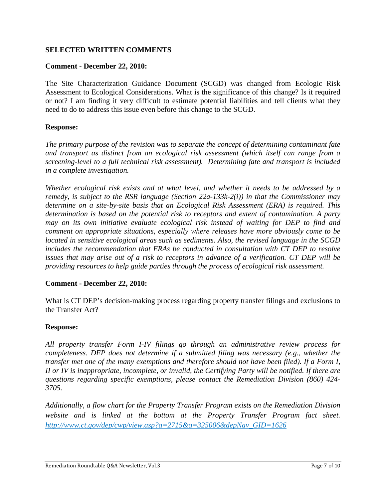# **SELECTED WRITTEN COMMENTS**

#### **Comment - December 22, 2010:**

The Site Characterization Guidance Document (SCGD) was changed from Ecologic Risk Assessment to Ecological Considerations. What is the significance of this change? Is it required or not? I am finding it very difficult to estimate potential liabilities and tell clients what they need to do to address this issue even before this change to the SCGD.

#### **Response:**

*The primary purpose of the revision was to separate the concept of determining contaminant fate and transport as distinct from an ecological risk assessment (which itself can range from a screening-level to a full technical risk assessment). Determining fate and transport is included in a complete investigation.* 

*Whether ecological risk exists and at what level, and whether it needs to be addressed by a remedy, is subject to the RSR language (Section 22a-133k-2(i)) in that the Commissioner may determine on a site-by-site basis that an Ecological Risk Assessment (ERA) is required. This determination is based on the potential risk to receptors and extent of contamination. A party may on its own initiative evaluate ecological risk instead of waiting for DEP to find and comment on appropriate situations, especially where releases have more obviously come to be located in sensitive ecological areas such as sediments. Also, the revised language in the SCGD includes the recommendation that ERAs be conducted in consultation with CT DEP to resolve issues that may arise out of a risk to receptors in advance of a verification. CT DEP will be providing resources to help guide parties through the process of ecological risk assessment.* 

## **Comment - December 22, 2010:**

What is CT DEP's decision-making process regarding property transfer filings and exclusions to the Transfer Act?

## **Response:**

*All property transfer Form I-IV filings go through an administrative review process for completeness. DEP does not determine if a submitted filing was necessary (e.g., whether the transfer met one of the many exemptions and therefore should not have been filed). If a Form I, II or IV is inappropriate, incomplete, or invalid, the Certifying Party will be notified. If there are questions regarding specific exemptions, please contact the Remediation Division (860) 424- 3705.* 

*Additionally, a flow chart for the Property Transfer Program exists on the Remediation Division website and is linked at the bottom at the Property Transfer Program fact sheet. http://www.ct.gov/dep/cwp/view.asp?a=2715&q=325006&depNav\_GID=1626*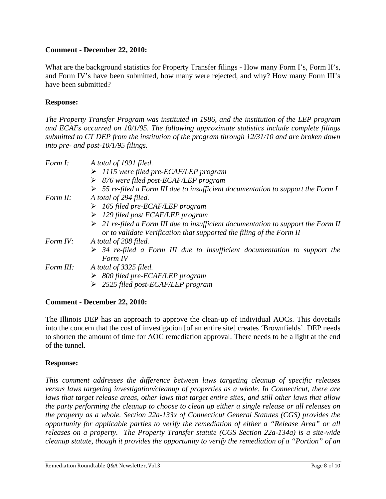# **Comment - December 22, 2010:**

What are the background statistics for Property Transfer filings - How many Form I's, Form II's, and Form IV's have been submitted, how many were rejected, and why? How many Form III's have been submitted?

## **Response:**

*The Property Transfer Program was instituted in 1986, and the institution of the LEP program and ECAFs occurred on 10/1/95. The following approximate statistics include complete filings submitted to CT DEP from the institution of the program through 12/31/10 and are broken down into pre- and post-10/1/95 filings.* 

| Form I:   | A total of 1991 filed.                                                                                                                                                   |
|-----------|--------------------------------------------------------------------------------------------------------------------------------------------------------------------------|
|           | $\triangleright$ 1115 were filed pre-ECAF/LEP program                                                                                                                    |
|           | $\triangleright$ 876 were filed post-ECAF/LEP program                                                                                                                    |
|           | $\triangleright$ 55 re-filed a Form III due to insufficient documentation to support the Form I                                                                          |
| Form II:  | A total of 294 filed.                                                                                                                                                    |
|           | $\triangleright$ 165 filed pre-ECAF/LEP program                                                                                                                          |
|           | $\triangleright$ 129 filed post ECAF/LEP program                                                                                                                         |
|           | $\triangleright$ 21 re-filed a Form III due to insufficient documentation to support the Form II<br>or to validate Verification that supported the filing of the Form II |
| Form IV:  | A total of 208 filed.                                                                                                                                                    |
|           | $\triangleright$ 34 re-filed a Form III due to insufficient documentation to support the<br>Form IV                                                                      |
| Form III: | A total of 3325 filed.                                                                                                                                                   |
|           | $\triangleright$ 800 filed pre-ECAF/LEP program                                                                                                                          |
|           | 2525 filed post-ECAF/LEP program                                                                                                                                         |

# **Comment - December 22, 2010:**

The Illinois DEP has an approach to approve the clean-up of individual AOCs. This dovetails into the concern that the cost of investigation [of an entire site] creates 'Brownfields'. DEP needs to shorten the amount of time for AOC remediation approval. There needs to be a light at the end of the tunnel.

## **Response:**

*This comment addresses the difference between laws targeting cleanup of specific releases versus laws targeting investigation/cleanup of properties as a whole. In Connecticut, there are laws that target release areas, other laws that target entire sites, and still other laws that allow the party performing the cleanup to choose to clean up either a single release or all releases on the property as a whole. Section 22a-133x of Connecticut General Statutes (CGS) provides the opportunity for applicable parties to verify the remediation of either a "Release Area" or all releases on a property. The Property Transfer statute (CGS Section 22a-134a) is a site-wide cleanup statute, though it provides the opportunity to verify the remediation of a "Portion" of an*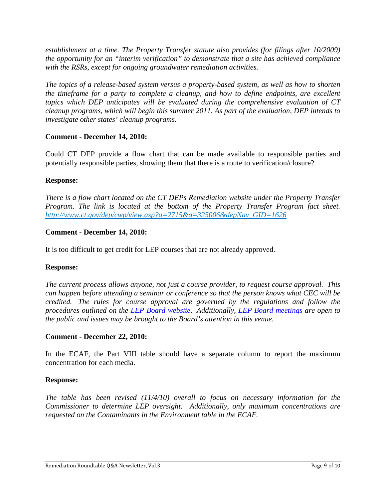*establishment at a time. The Property Transfer statute also provides (for filings after 10/2009) the opportunity for an "interim verification" to demonstrate that a site has achieved compliance with the RSRs, except for ongoing groundwater remediation activities.* 

*The topics of a release-based system versus a property-based system, as well as how to shorten the timeframe for a party to complete a cleanup, and how to define endpoints, are excellent topics which DEP anticipates will be evaluated during the comprehensive evaluation of CT cleanup programs, which will begin this summer 2011. As part of the evaluation, DEP intends to investigate other states' cleanup programs.* 

# **Comment - December 14, 2010:**

Could CT DEP provide a flow chart that can be made available to responsible parties and potentially responsible parties, showing them that there is a route to verification/closure?

## **Response:**

*There is a flow chart located on the CT DEPs Remediation website under the Property Transfer Program. The link is located at the bottom of the Property Transfer Program fact sheet. http://www.ct.gov/dep/cwp/view.asp?a=2715&q=325006&depNav\_GID=1626*

## **Comment - December 14, 2010:**

It is too difficult to get credit for LEP courses that are not already approved.

## **Response:**

*The current process allows anyone, not just a course provider, to request course approval. This can happen before attending a seminar or conference so that the person knows what CEC will be credited. The rules for course approval are governed by the regulations and follow the procedures outlined on the LEP Board website. Additionally, LEP Board meetings are open to the public and issues may be brought to the Board's attention in this venue.*

## **Comment - December 22, 2010:**

In the ECAF, the Part VIII table should have a separate column to report the maximum concentration for each media.

## **Response:**

*The table has been revised (11/4/10) overall to focus on necessary information for the Commissioner to determine LEP oversight. Additionally, only maximum concentrations are requested on the Contaminants in the Environment table in the ECAF.*